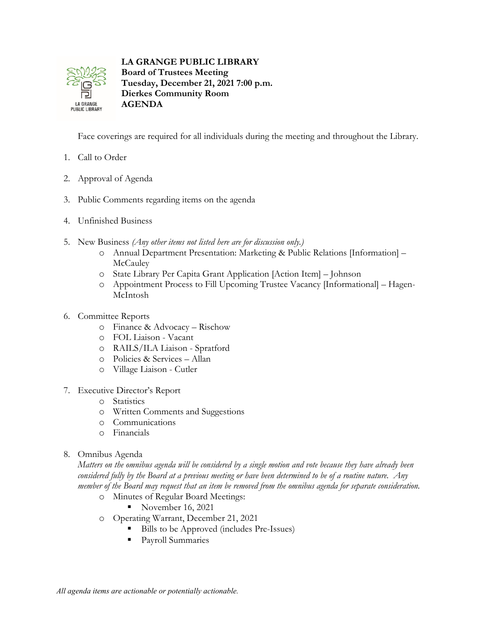

**LA GRANGE PUBLIC LIBRARY Board of Trustees Meeting**

**Tuesday, December 21, 2021 7:00 p.m. Dierkes Community Room AGENDA**

Face coverings are required for all individuals during the meeting and throughout the Library.

- 1. Call to Order
- 2. Approval of Agenda
- 3. Public Comments regarding items on the agenda
- 4. Unfinished Business
- 5. New Business *(Any other items not listed here are for discussion only.)*
	- o Annual Department Presentation: Marketing & Public Relations [Information] **McCauley**
	- o State Library Per Capita Grant Application [Action Item] Johnson
	- o Appointment Process to Fill Upcoming Trustee Vacancy [Informational] Hagen-McIntosh
- 6. Committee Reports
	- o Finance & Advocacy Rischow
	- o FOL Liaison Vacant
	- o RAILS/ILA Liaison Spratford
	- o Policies & Services Allan
	- o Village Liaison Cutler
- 7. Executive Director's Report
	- o Statistics
	- o Written Comments and Suggestions
	- o Communications
	- o Financials
- 8. Omnibus Agenda

*Matters on the omnibus agenda will be considered by a single motion and vote because they have already been considered fully by the Board at a previous meeting or have been determined to be of a routine nature. Any member of the Board may request that an item be removed from the omnibus agenda for separate consideration.*

- o Minutes of Regular Board Meetings:
	- November 16, 2021
- o Operating Warrant, December 21, 2021
	- Bills to be Approved (includes Pre-Issues)
	- **Payroll Summaries**